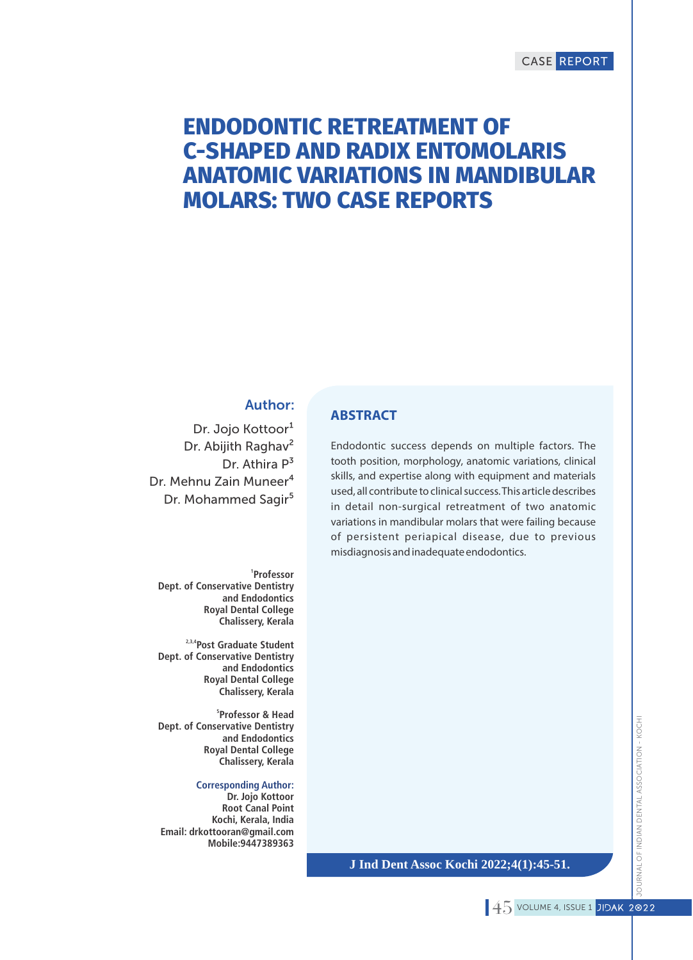# CASE REPORT

# **ENDODONTIC RETREATMENT OF C-SHAPED AND RADIX ENTOMOLARIS ANATOMIC VARIATIONS IN MANDIBULAR MOLARS: TWO CASE REPORTS**

## Author:

Dr. Jojo Kottoor<sup>1</sup> Dr. Abijith Raghav<sup>2</sup> Dr. Athira P<sup>3</sup> Dr. Mehnu Zain Muneer<sup>4</sup> Dr. Mohammed Sagir<sup>5</sup>

**1 Professor Dept. of Conservative Dentistry and Endodontics Royal Dental College Chalissery, Kerala**

**2,3,4Post Graduate Student Dept. of Conservative Dentistry and Endodontics Royal Dental College Chalissery, Kerala**

**5 Professor & Head Dept. of Conservative Dentistry and Endodontics Royal Dental College Chalissery, Kerala**

**Corresponding Author:**

**Dr. Jojo Kottoor Root Canal Point Kochi, Kerala, India Email: drkottooran@gmail.com Mobile:9447389363**

# **ABSTRACT**

Endodontic success depends on multiple factors. The tooth position, morphology, anatomic variations, clinical skills, and expertise along with equipment and materials used, all contribute to clinical success. This article describes in detail non-surgical retreatment of two anatomic variations in mandibular molars that were failing because of persistent periapical disease, due to previous misdiagnosis and inadequate endodontics.

**J Ind Dent Assoc Kochi 2022;4(1):45-51.**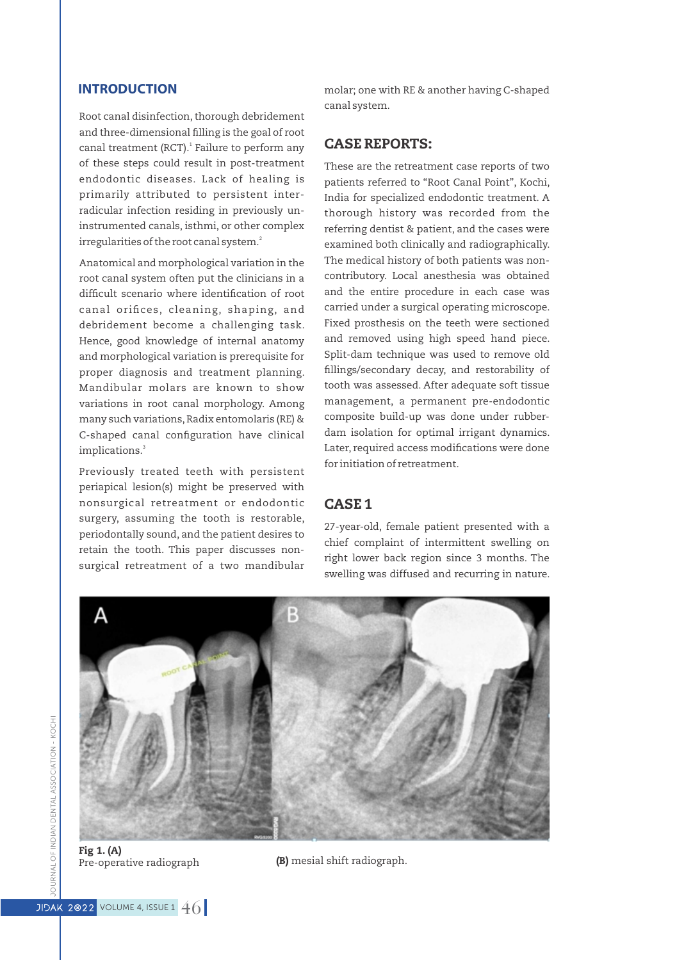Root canal disinfection, thorough debridement and three-dimensional filling is the goal of root canal treatment (RCT).<sup>1</sup> Failure to perform any of these steps could result in post-treatment endodontic diseases. Lack of healing is primarily attributed to persistent interradicular infection residing in previously uninstrumented canals, isthmi, or other complex irregularities of the root canal system.<sup>2</sup>

Anatomical and morphological variation in the root canal system often put the clinicians in a difficult scenario where identification of root canal orifices, cleaning, shaping, and debridement become a challenging task. Hence, good knowledge of internal anatomy and morphological variation is prerequisite for proper diagnosis and treatment planning. Mandibular molars are known to show variations in root canal morphology. Among many such variations,Radix entomolaris (RE) & C-shaped canal configuration have clinical implications.<sup>3</sup>

Previously treated teeth with persistent periapical lesion(s) might be preserved with nonsurgical retreatment or endodontic surgery, assuming the tooth is restorable, periodontally sound, and the patient desires to retain the tooth. This paper discusses nonsurgical retreatment of a two mandibular

**INTRODUCTION** molar; one with RE & another having C-shaped canal system.

### CASE REPORTS:

These are the retreatment case reports of two patients referred to "Root Canal Point", Kochi, India for specialized endodontic treatment. A thorough history was recorded from the referring dentist & patient, and the cases were examined both clinically and radiographically. The medical history of both patients was noncontributory. Local anesthesia was obtained and the entire procedure in each case was carried under a surgical operating microscope. Fixed prosthesis on the teeth were sectioned and removed using high speed hand piece. Split-dam technique was used to remove old fillings/secondary decay, and restorability of tooth was assessed. After adequate soft tissue management, a permanent pre-endodontic composite build-up was done under rubberdam isolation for optimal irrigant dynamics. Later, required access modifications were done for initiation of retreatment.

#### CASE 1

27-year-old, female patient presented with a chief complaint of intermittent swelling on right lower back region since 3 months. The swelling was diffused and recurring in nature.



Fig 1. (A)

 $\overline{P}$  Pre-operative radiograph (B) mesial shift radiograph.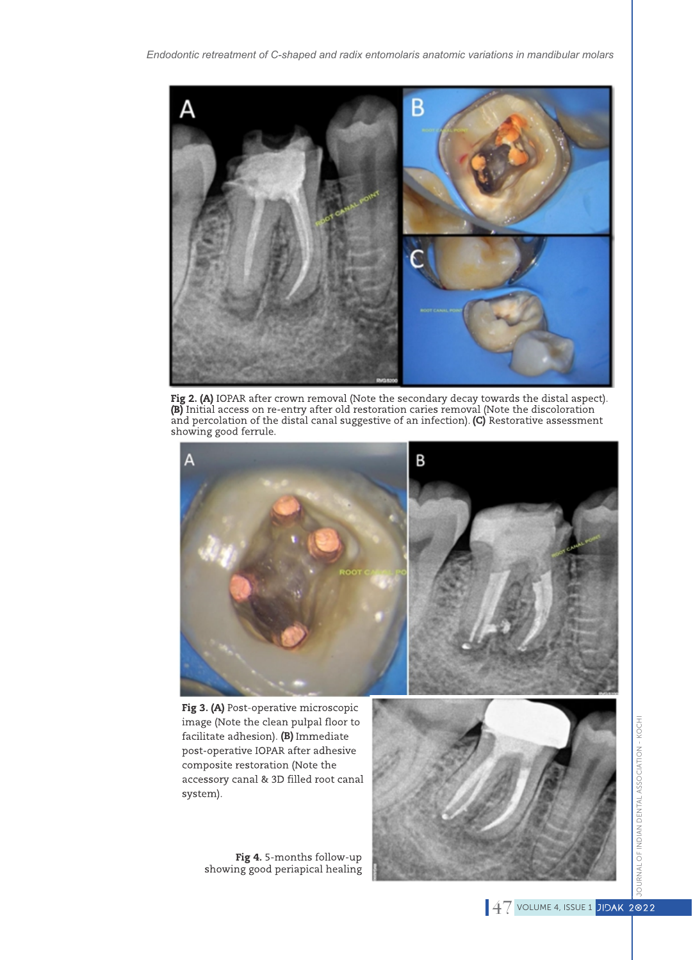

Fig 2. (A) IOPAR after crown removal (Note the secondary decay towards the distal aspect). (B) Initial access on re-entry after old restoration caries removal (Note the discoloration<br>and percolation of the distal canal suggestive of an infection). (C) Restorative assessment showing good ferrule.



Fig 3. (A) Post-operative microscopic image (Note the clean pulpal floor to facilitate adhesion).  $(B)$  Immediate post-operative IOPAR after adhesive composite restoration (Note the accessory canal & 3D filled root canal system).

Fig 4.5-months follow-up showing good periapical healing

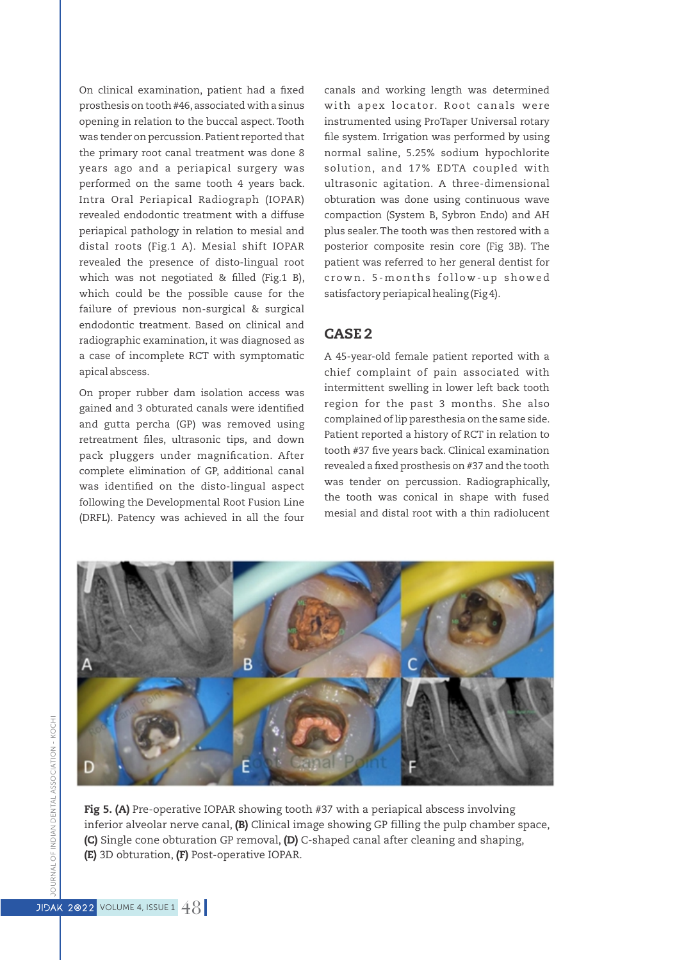On clinical examination, patient had a fixed prosthesis on tooth #46, associated with a sinus opening in relation to the buccal aspect. Tooth was tender on percussion.Patient reported that the primary root canal treatment was done 8 years ago and a periapical surgery was performed on the same tooth 4 years back. Intra Oral Periapical Radiograph (IOPAR) revealed endodontic treatment with a diffuse periapical pathology in relation to mesial and distal roots (Fig.1 A). Mesial shift IOPAR revealed the presence of disto-lingual root which was not negotiated & filled (Fig.1 B), which could be the possible cause for the failure of previous non-surgical & surgical endodontic treatment. Based on clinical and radiographic examination, it was diagnosed as a case of incomplete RCT with symptomatic apical abscess.

On proper rubber dam isolation access was gained and 3 obturated canals were identified and gutta percha (GP) was removed using retreatment files, ultrasonic tips, and down pack pluggers under magnification. After complete elimination of GP, additional canal was identified on the disto-lingual aspect following the Developmental Root Fusion Line (DRFL). Patency was achieved in all the four canals and working length was determined with apex locator. Root canals were instrumented using ProTaper Universal rotary file system. Irrigation was performed by using normal saline, 5.25% sodium hypochlorite solution, and 17% EDTA coupled with ultrasonic agitation. A three-dimensional obturation was done using continuous wave compaction (System B, Sybron Endo) and AH plus sealer.The tooth was then restored with a posterior composite resin core (Fig 3B). The patient was referred to her general dentist for crown. 5-months follow-up showed satisfactory periapical healing (Fig 4).

# CASE 2

A 45-year-old female patient reported with a chief complaint of pain associated with intermittent swelling in lower left back tooth region for the past 3 months. She also complained of lip paresthesia on the same side. Patient reported a history of RCT in relation to tooth #37 five years back. Clinical examination revealed a fixed prosthesis on #37 and the tooth was tender on percussion. Radiographically, the tooth was conical in shape with fused mesial and distal root with a thin radiolucent



Fig 5. (A) Pre-operative IOPAR showing tooth #37 with a periapical abscess involving inferior alveolar nerve canal, (B) Clinical image showing GP filling the pulp chamber space, (C) Single cone obturation GP removal, (D) C-shaped canal after cleaning and shaping, (E) 3D obturation, (F) Post-operative IOPAR.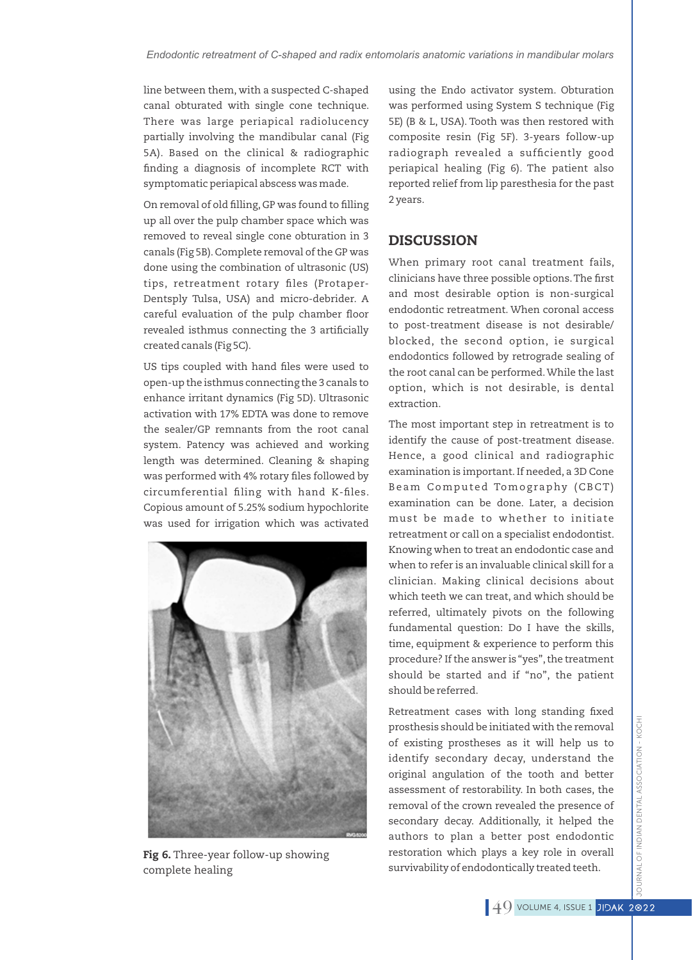line between them, with a suspected C-shaped canal obturated with single cone technique. There was large periapical radiolucency partially involving the mandibular canal (Fig 5A). Based on the clinical & radiographic nding a diagnosis of incomplete RCT with symptomatic periapical abscess was made.

On removal of old filling, GP was found to filling up all over the pulp chamber space which was removed to reveal single cone obturation in 3 canals (Fig 5B).Complete removal of the GP was done using the combination of ultrasonic (US) tips, retreatment rotary files (Protaper-Dentsply Tulsa, USA) and micro-debrider. A careful evaluation of the pulp chamber floor revealed isthmus connecting the 3 artificially created canals (Fig 5C).

US tips coupled with hand files were used to open-up the isthmus connecting the 3 canals to enhance irritant dynamics (Fig 5D). Ultrasonic activation with 17% EDTA was done to remove the sealer/GP remnants from the root canal system. Patency was achieved and working length was determined. Cleaning & shaping was performed with 4% rotary files followed by circumferential filing with hand K-files. Copious amount of 5.25% sodium hypochlorite was used for irrigation which was activated



Fig 6. Three-year follow-up showing complete healing

using the Endo activator system. Obturation was performed using System S technique (Fig 5E) (B & L, USA). Tooth was then restored with composite resin (Fig 5F). 3-years follow-up radiograph revealed a sufficiently good periapical healing (Fig 6). The patient also reported relief from lip paresthesia for the past 2 years.

### **DISCUSSION**

When primary root canal treatment fails, clinicians have three possible options. The first and most desirable option is non-surgical endodontic retreatment. When coronal access to post-treatment disease is not desirable/ blocked, the second option, ie surgical endodontics followed by retrograde sealing of the root canal can be performed.While the last option, which is not desirable, is dental extraction.

The most important step in retreatment is to identify the cause of post-treatment disease. Hence, a good clinical and radiographic examination is important. If needed, a 3D Cone Beam Computed Tomography (CBCT) examination can be done. Later, a decision must be made to whether to initiate retreatment or call on a specialist endodontist. Knowing when to treat an endodontic case and when to refer is an invaluable clinical skill for a clinician. Making clinical decisions about which teeth we can treat, and which should be referred, ultimately pivots on the following fundamental question: Do I have the skills, time, equipment & experience to perform this procedure? If the answer is "yes",the treatment should be started and if "no", the patient should be referred.

Retreatment cases with long standing fixed prosthesis should be initiated with the removal of existing prostheses as it will help us to identify secondary decay, understand the original angulation of the tooth and better assessment of restorability. In both cases, the removal of the crown revealed the presence of secondary decay. Additionally, it helped the authors to plan a better post endodontic restoration which plays a key role in overall survivability of endodontically treated teeth.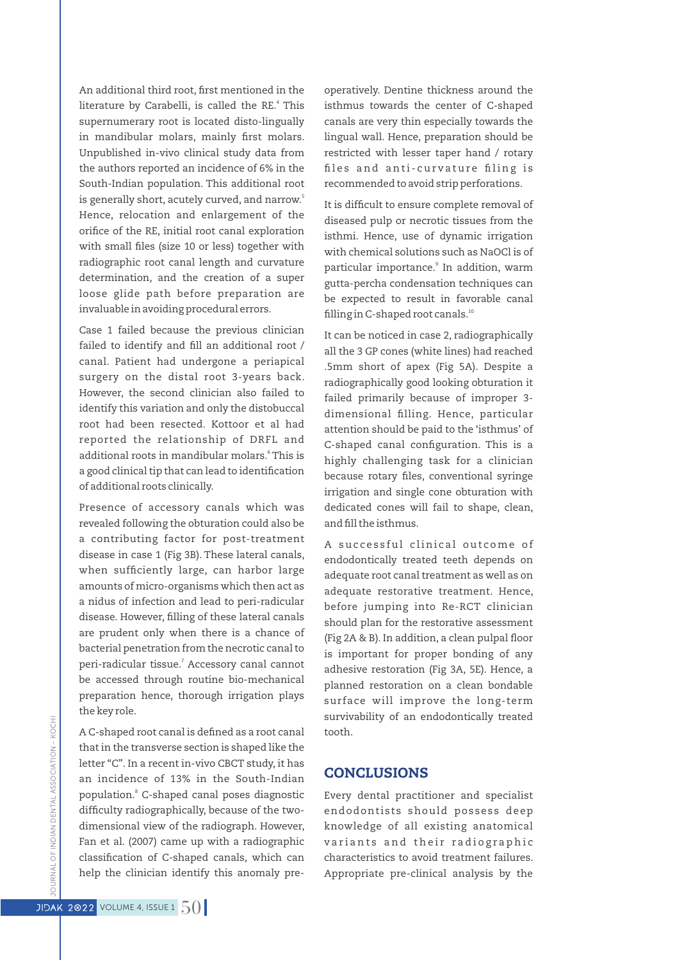An additional third root, first mentioned in the literature by Carabelli, is called the RE.<sup>4</sup> This supernumerary root is located disto-lingually in mandibular molars, mainly first molars. Unpublished in-vivo clinical study data from the authors reported an incidence of 6% in the South-Indian population. This additional root is generally short, acutely curved, and narrow.' Hence, relocation and enlargement of the orifice of the RE, initial root canal exploration with small files (size 10 or less) together with radiographic root canal length and curvature determination, and the creation of a super loose glide path before preparation are invaluable in avoiding procedural errors.

Case 1 failed because the previous clinician failed to identify and fill an additional root / canal. Patient had undergone a periapical surgery on the distal root 3-years back. However, the second clinician also failed to identify this variation and only the distobuccal root had been resected. Kottoor et al had reported the relationship of DRFL and additional roots in mandibular molars.<sup>6</sup> This is a good clinical tip that can lead to identification of additional roots clinically.

Presence of accessory canals which was revealed following the obturation could also be a contributing factor for post-treatment disease in case 1 (Fig 3B). These lateral canals, when sufficiently large, can harbor large amounts of micro-organisms which then act as a nidus of infection and lead to peri-radicular disease. However, filling of these lateral canals are prudent only when there is a chance of bacterial penetration from the necrotic canal to peri-radicular tissue.<sup>7</sup> Accessory canal cannot be accessed through routine bio-mechanical preparation hence, thorough irrigation plays the key role.

A C-shaped root canal is defined as a root canal that in the transverse section is shaped like the letter "C". In a recent in-vivo CBCT study, it has an incidence of 13% in the South-Indian population.<sup>8</sup> C-shaped canal poses diagnostic difficulty radiographically, because of the twodimensional view of the radiograph. However, Fan et al. (2007) came up with a radiographic classification of C-shaped canals, which can help the clinician identify this anomaly preoperatively. Dentine thickness around the isthmus towards the center of C-shaped canals are very thin especially towards the lingual wall. Hence, preparation should be restricted with lesser taper hand / rotary files and anti-curvature filing is recommended to avoid strip perforations.

It is difficult to ensure complete removal of diseased pulp or necrotic tissues from the isthmi. Hence, use of dynamic irrigation with chemical solutions such as NaOCl is of particular importance.<sup>9</sup> In addition, warm gutta-percha condensation techniques can be expected to result in favorable canal filling in C-shaped root canals. $10$ 

It can be noticed in case 2, radiographically all the 3 GP cones (white lines) had reached .5mm short of apex (Fig 5A). Despite a radiographically good looking obturation it failed primarily because of improper 3 dimensional filling. Hence, particular attention should be paid to the 'isthmus' of C-shaped canal configuration. This is a highly challenging task for a clinician because rotary files, conventional syringe irrigation and single cone obturation with dedicated cones will fail to shape, clean, and fill the isthmus.

A successful clinical outcome of endodontically treated teeth depends on adequate root canal treatment as well as on adequate restorative treatment. Hence, before jumping into Re-RCT clinician should plan for the restorative assessment (Fig 2A & B). In addition, a clean pulpal floor is important for proper bonding of any adhesive restoration (Fig 3A, 5E). Hence, a planned restoration on a clean bondable surface will improve the long-term survivability of an endodontically treated tooth.

#### **CONCLUSIONS**

Every dental practitioner and specialist endodontists should possess deep knowledge of all existing anatomical variants and their radiographic characteristics to avoid treatment failures. Appropriate pre-clinical analysis by the